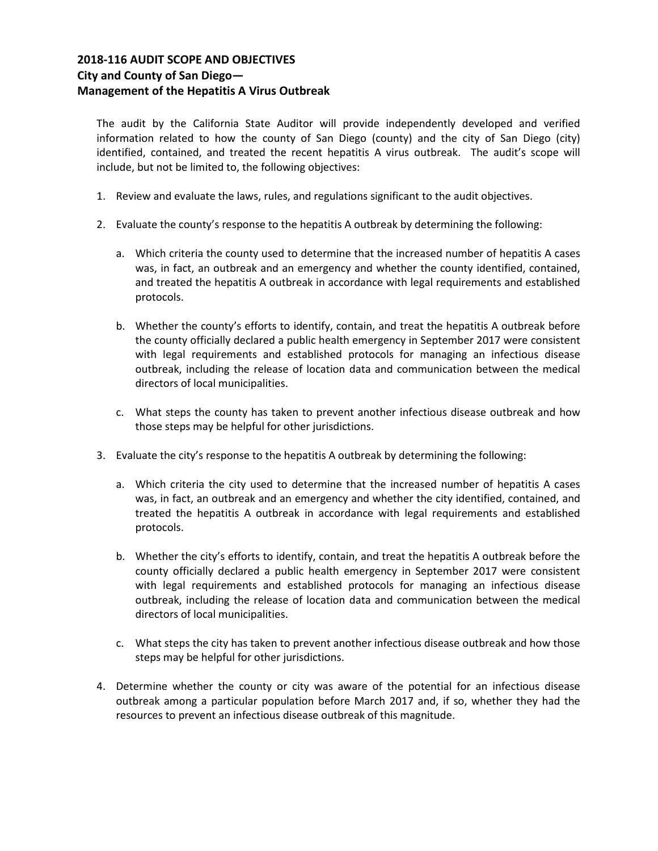## **2018-116 AUDIT SCOPE AND OBJECTIVES City and County of San Diego— Management of the Hepatitis A Virus Outbreak**

The audit by the California State Auditor will provide independently developed and verified information related to how the county of San Diego (county) and the city of San Diego (city) identified, contained, and treated the recent hepatitis A virus outbreak. The audit's scope will include, but not be limited to, the following objectives:

- 1. Review and evaluate the laws, rules, and regulations significant to the audit objectives.
- 2. Evaluate the county's response to the hepatitis A outbreak by determining the following:
	- a. Which criteria the county used to determine that the increased number of hepatitis A cases was, in fact, an outbreak and an emergency and whether the county identified, contained, and treated the hepatitis A outbreak in accordance with legal requirements and established protocols.
	- b. Whether the county's efforts to identify, contain, and treat the hepatitis A outbreak before the county officially declared a public health emergency in September 2017 were consistent with legal requirements and established protocols for managing an infectious disease outbreak, including the release of location data and communication between the medical directors of local municipalities.
	- c. What steps the county has taken to prevent another infectious disease outbreak and how those steps may be helpful for other jurisdictions.
- 3. Evaluate the city's response to the hepatitis A outbreak by determining the following:
	- a. Which criteria the city used to determine that the increased number of hepatitis A cases was, in fact, an outbreak and an emergency and whether the city identified, contained, and treated the hepatitis A outbreak in accordance with legal requirements and established protocols.
	- b. Whether the city's efforts to identify, contain, and treat the hepatitis A outbreak before the county officially declared a public health emergency in September 2017 were consistent with legal requirements and established protocols for managing an infectious disease outbreak, including the release of location data and communication between the medical directors of local municipalities.
	- c. What steps the city has taken to prevent another infectious disease outbreak and how those steps may be helpful for other jurisdictions.
- 4. Determine whether the county or city was aware of the potential for an infectious disease outbreak among a particular population before March 2017 and, if so, whether they had the resources to prevent an infectious disease outbreak of this magnitude.